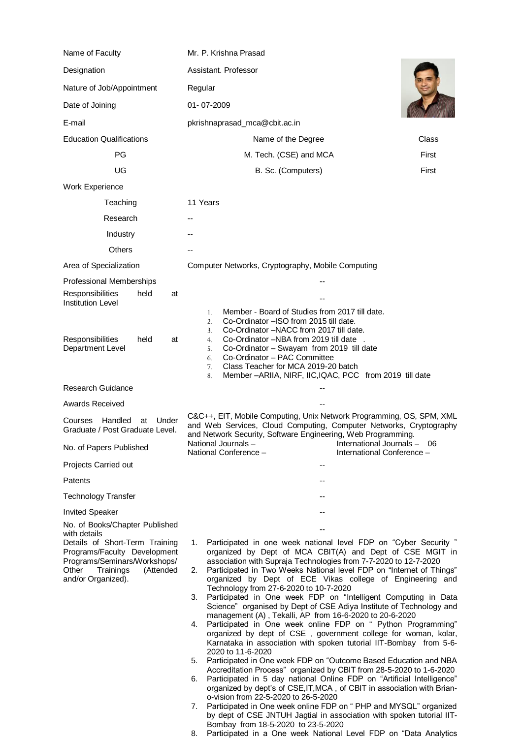| Name of Faculty                                                                                                                                         | Mr. P. Krishna Prasad                                                                                                                                                                                                                                                                                                                                                                                                                     |       |
|---------------------------------------------------------------------------------------------------------------------------------------------------------|-------------------------------------------------------------------------------------------------------------------------------------------------------------------------------------------------------------------------------------------------------------------------------------------------------------------------------------------------------------------------------------------------------------------------------------------|-------|
| Designation                                                                                                                                             | Assistant. Professor                                                                                                                                                                                                                                                                                                                                                                                                                      |       |
| Nature of Job/Appointment                                                                                                                               | Regular                                                                                                                                                                                                                                                                                                                                                                                                                                   |       |
| Date of Joining                                                                                                                                         | 01-07-2009                                                                                                                                                                                                                                                                                                                                                                                                                                |       |
| E-mail                                                                                                                                                  | pkrishnaprasad_mca@cbit.ac.in                                                                                                                                                                                                                                                                                                                                                                                                             |       |
| <b>Education Qualifications</b>                                                                                                                         | Name of the Degree                                                                                                                                                                                                                                                                                                                                                                                                                        | Class |
| <b>PG</b>                                                                                                                                               | M. Tech. (CSE) and MCA                                                                                                                                                                                                                                                                                                                                                                                                                    | First |
| UG                                                                                                                                                      | B. Sc. (Computers)                                                                                                                                                                                                                                                                                                                                                                                                                        | First |
| Work Experience                                                                                                                                         |                                                                                                                                                                                                                                                                                                                                                                                                                                           |       |
| Teaching                                                                                                                                                | 11 Years                                                                                                                                                                                                                                                                                                                                                                                                                                  |       |
| Research                                                                                                                                                |                                                                                                                                                                                                                                                                                                                                                                                                                                           |       |
| Industry                                                                                                                                                |                                                                                                                                                                                                                                                                                                                                                                                                                                           |       |
| Others                                                                                                                                                  |                                                                                                                                                                                                                                                                                                                                                                                                                                           |       |
| Area of Specialization                                                                                                                                  | Computer Networks, Cryptography, Mobile Computing                                                                                                                                                                                                                                                                                                                                                                                         |       |
| Professional Memberships                                                                                                                                |                                                                                                                                                                                                                                                                                                                                                                                                                                           |       |
| <b>Responsibilities</b><br>held<br>at<br><b>Institution Level</b>                                                                                       |                                                                                                                                                                                                                                                                                                                                                                                                                                           |       |
| Responsibilities<br>held<br>at<br>Department Level                                                                                                      | Member - Board of Studies from 2017 till date.<br>1.<br>Co-Ordinator - ISO from 2015 till date.<br>2.<br>Co-Ordinator -NACC from 2017 till date.<br>3.<br>Co-Ordinator -NBA from 2019 till date<br>4.<br>Co-Ordinator - Swayam from 2019 till date<br>5.<br>Co-Ordinator - PAC Committee<br>6.                                                                                                                                            |       |
|                                                                                                                                                         | Class Teacher for MCA 2019-20 batch<br>7.<br>Member - ARIIA, NIRF, IIC, IQAC, PCC from 2019 till date<br>8.                                                                                                                                                                                                                                                                                                                               |       |
| <b>Research Guidance</b>                                                                                                                                |                                                                                                                                                                                                                                                                                                                                                                                                                                           |       |
| <b>Awards Received</b>                                                                                                                                  |                                                                                                                                                                                                                                                                                                                                                                                                                                           |       |
| Handled<br>Under<br>Courses<br>at<br>Graduate / Post Graduate Level.                                                                                    | C&C++, EIT, Mobile Computing, Unix Network Programming, OS, SPM, XML<br>and Web Services, Cloud Computing, Computer Networks, Cryptography<br>and Network Security, Software Engineering, Web Programming.                                                                                                                                                                                                                                |       |
| No. of Papers Published                                                                                                                                 | National Journals-<br>International Journals - 06<br>National Conference -<br>International Conference -                                                                                                                                                                                                                                                                                                                                  |       |
| Projects Carried out                                                                                                                                    |                                                                                                                                                                                                                                                                                                                                                                                                                                           |       |
| Patents                                                                                                                                                 |                                                                                                                                                                                                                                                                                                                                                                                                                                           |       |
| <b>Technology Transfer</b>                                                                                                                              |                                                                                                                                                                                                                                                                                                                                                                                                                                           |       |
| <b>Invited Speaker</b>                                                                                                                                  |                                                                                                                                                                                                                                                                                                                                                                                                                                           |       |
| No. of Books/Chapter Published<br>with details                                                                                                          |                                                                                                                                                                                                                                                                                                                                                                                                                                           |       |
| Details of Short-Term Training<br>Programs/Faculty Development<br>Programs/Seminars/Workshops/<br>Other<br>Trainings<br>(Attended<br>and/or Organized). | Participated in one week national level FDP on "Cyber Security"<br>1.<br>organized by Dept of MCA CBIT(A) and Dept of CSE MGIT in<br>association with Supraja Technologies from 7-7-2020 to 12-7-2020<br>2. Participated in Two Weeks National level FDP on "Internet of Things"<br>organized by Dept of ECE Vikas college of Engineering and<br>Technology from 27-6-2020 to 10-7-2020                                                   |       |
|                                                                                                                                                         | Participated in One week FDP on "Intelligent Computing in Data<br>3.<br>Science" organised by Dept of CSE Adiya Institute of Technology and<br>management (A), Tekalli, AP from 16-6-2020 to 20-6-2020<br>Participated in One week online FDP on " Python Programming"<br>4.<br>organized by dept of CSE, government college for woman, kolar,<br>Karnataka in association with spoken tutorial IIT-Bombay from 5-6-<br>2020 to 11-6-2020 |       |
|                                                                                                                                                         | 5. Participated in One week FDP on "Outcome Based Education and NBA<br>Accreditation Process" organized by CBIT from 28-5-2020 to 1-6-2020<br>Participated in 5 day national Online FDP on "Artificial Intelligence"<br>6.<br>organized by dept's of CSE, IT, MCA, of CBIT in association with Brian-<br>o-vision from 22-5-2020 to 26-5-2020                                                                                             |       |
|                                                                                                                                                         | Participated in One week online FDP on " PHP and MYSQL" organized<br>7.<br>by dept of CSE JNTUH Jagtial in association with spoken tutorial IIT-<br>Bombay from 18-5-2020 to 23-5-2020<br>Participated in a One week National Level FDP on "Data Analytics<br>8.                                                                                                                                                                          |       |